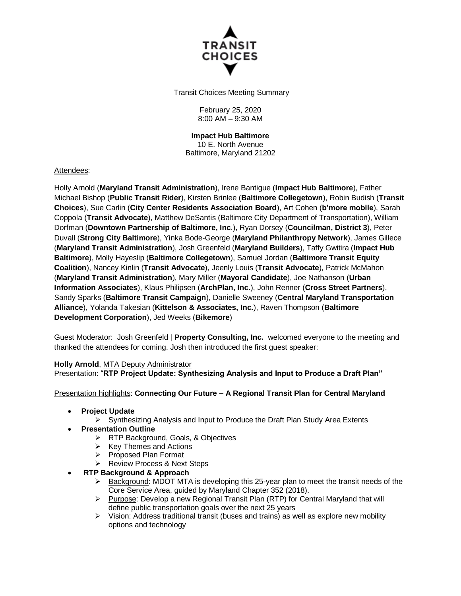

Transit Choices Meeting Summary

February 25, 2020 8:00 AM – 9:30 AM

**Impact Hub Baltimore** 10 E. North Avenue Baltimore, Maryland 21202

## Attendees:

Holly Arnold (**Maryland Transit Administration**), Irene Bantigue (**Impact Hub Baltimore**), Father Michael Bishop (**Public Transit Rider**), Kirsten Brinlee (**Baltimore Collegetown**), Robin Budish (**Transit Choices**), Sue Carlin (**City Center Residents Association Board**), Art Cohen (**b'more mobile**), Sarah Coppola (**Transit Advocate**), Matthew DeSantis (Baltimore City Department of Transportation), William Dorfman (**Downtown Partnership of Baltimore, Inc**.), Ryan Dorsey (**Councilman, District 3**), Peter Duvall (**Strong City Baltimore**), Yinka Bode-George (**Maryland Philanthropy Network**), James Gillece (**Maryland Transit Administration**), Josh Greenfeld (**Maryland Builders**), Taffy Gwitira (**Impact Hub Baltimore**), Molly Hayeslip (**Baltimore Collegetown**), Samuel Jordan (**Baltimore Transit Equity Coalition**), Nancey Kinlin (**Transit Advocate**), Jeenly Louis (**Transit Advocate**), Patrick McMahon (**Maryland Transit Administration**), Mary Miller (**Mayoral Candidate**), Joe Nathanson (**Urban Information Associates**), Klaus Philipsen (**ArchPlan, Inc.**), John Renner (**Cross Street Partners**), Sandy Sparks (**Baltimore Transit Campaign**), Danielle Sweeney (**Central Maryland Transportation Alliance**), Yolanda Takesian (**Kittelson & Associates, Inc.**), Raven Thompson (**Baltimore Development Corporation**), Jed Weeks (**Bikemore**)

Guest Moderator: Josh Greenfeld | **Property Consulting, Inc.** welcomed everyone to the meeting and thanked the attendees for coming. Josh then introduced the first guest speaker:

### **Holly Arnold**, MTA Deputy Administrator

Presentation: "**RTP Project Update: Synthesizing Analysis and Input to Produce a Draft Plan"**

### Presentation highlights: **Connecting Our Future – A Regional Transit Plan for Central Maryland**

- **Project Update**
	- $\triangleright$  Synthesizing Analysis and Input to Produce the Draft Plan Study Area Extents
- **Presentation Outline**
	- **EXA** RTP Background, Goals, & Objectives
	- $\triangleright$  Key Themes and Actions
	- Proposed Plan Format
	- ▶ Review Process & Next Steps
- **RTP Background & Approach**
	- $\triangleright$  Background: MDOT MTA is developing this 25-year plan to meet the transit needs of the Core Service Area, guided by Maryland Chapter 352 (2018).
	- $\triangleright$  Purpose: Develop a new Regional Transit Plan (RTP) for Central Maryland that will define public transportation goals over the next 25 years
	- $\triangleright$  Vision: Address traditional transit (buses and trains) as well as explore new mobility options and technology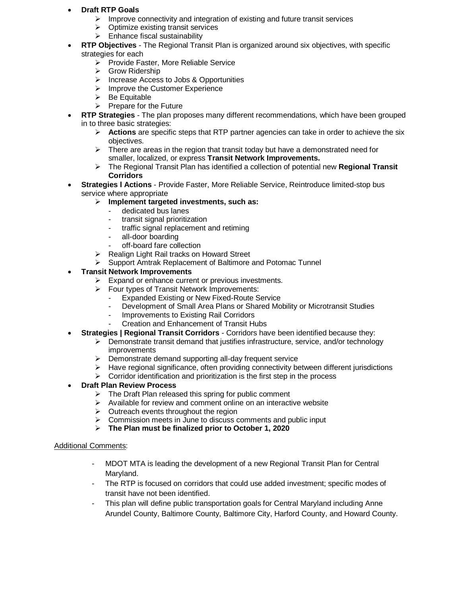- **Draft RTP Goals**
	- $\triangleright$  Improve connectivity and integration of existing and future transit services
	- Optimize existing transit services
	- $\triangleright$  Enhance fiscal sustainability
- **RTP Objectives**  The Regional Transit Plan is organized around six objectives, with specific strategies for each
	- $\triangleright$  Provide Faster, More Reliable Service
	- **►** Grow Ridership
	- > Increase Access to Jobs & Opportunities
	- $\triangleright$  Improve the Customer Experience
	- $\triangleright$  Be Equitable
	- $\triangleright$  Prepare for the Future
- **RTP Strategies** The plan proposes many different recommendations, which have been grouped in to three basic strategies:
	- **Actions** are specific steps that RTP partner agencies can take in order to achieve the six objectives.
	- $\triangleright$  There are areas in the region that transit today but have a demonstrated need for smaller, localized, or express **Transit Network Improvements.**
	- The Regional Transit Plan has identified a collection of potential new **Regional Transit Corridors**
- **Strategies l Actions** Provide Faster, More Reliable Service, Reintroduce limited-stop bus service where appropriate
	- **Implement targeted investments, such as:** 
		- dedicated bus lanes
		- transit signal prioritization
		- traffic signal replacement and retiming
		- all-door boarding
		- off-board fare collection
	- $\triangleright$  Realign Light Rail tracks on Howard Street
	- Support Amtrak Replacement of Baltimore and Potomac Tunnel

# **Transit Network Improvements**

- $\triangleright$  Expand or enhance current or previous investments.
- $\triangleright$  Four types of Transit Network Improvements:
	- Expanded Existing or New Fixed-Route Service
	- Development of Small Area Plans or Shared Mobility or Microtransit Studies
	- Improvements to Existing Rail Corridors
	- Creation and Enhancement of Transit Hubs
- **Strategies | Regional Transit Corridors** Corridors have been identified because they:
	- $\triangleright$  Demonstrate transit demand that justifies infrastructure, service, and/or technology improvements
	- $\triangleright$  Demonstrate demand supporting all-day frequent service
	- $\triangleright$  Have regional significance, often providing connectivity between different jurisdictions
	- $\triangleright$  Corridor identification and prioritization is the first step in the process

## **Draft Plan Review Process**

- $\triangleright$  The Draft Plan released this spring for public comment
- $\triangleright$  Available for review and comment online on an interactive website
- $\triangleright$  Outreach events throughout the region
- $\triangleright$  Commission meets in June to discuss comments and public input
- **The Plan must be finalized prior to October 1, 2020**

## Additional Comments:

- MDOT MTA is leading the development of a new Regional Transit Plan for Central Maryland.
- The RTP is focused on corridors that could use added investment; specific modes of transit have not been identified.
- This plan will define public transportation goals for Central Maryland including Anne Arundel County, Baltimore County, Baltimore City, Harford County, and Howard County.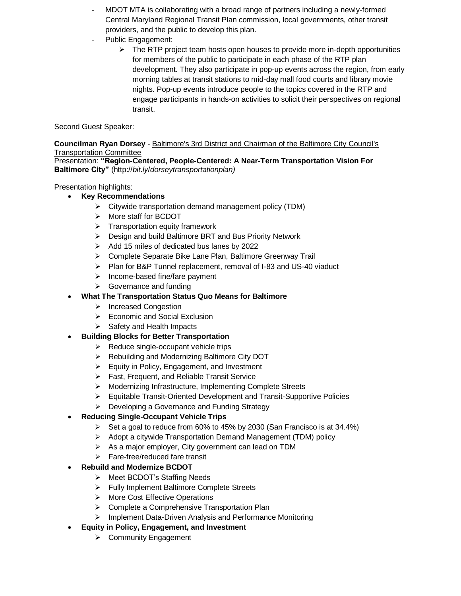- MDOT MTA is collaborating with a broad range of partners including a newly-formed Central Maryland Regional Transit Plan commission, local governments, other transit providers, and the public to develop this plan.
- Public Engagement:
	- $\triangleright$  The RTP project team hosts open houses to provide more in-depth opportunities for members of the public to participate in each phase of the RTP plan development. They also participate in pop-up events across the region, from early morning tables at transit stations to mid-day mall food courts and library movie nights. Pop-up events introduce people to the topics covered in the RTP and engage participants in hands-on activities to solicit their perspectives on regional transit.

Second Guest Speaker:

**Councilman Ryan Dorsey** - Baltimore's 3rd District and Chairman of the Baltimore City Council's Transportation Committee

Presentation: **"Region-Centered, People-Centered: A Near-Term Transportation Vision For Baltimore City"** (http://*bit*.*ly*/*dorseytransportationplan)* 

# Presentation highlights:

- **Key Recommendations**
	- $\triangleright$  Citywide transportation demand management policy (TDM)
	- > More staff for BCDOT
	- $\triangleright$  Transportation equity framework
	- ▶ Design and build Baltimore BRT and Bus Priority Network
	- $\triangleright$  Add 15 miles of dedicated bus lanes by 2022
	- Complete Separate Bike Lane Plan, Baltimore Greenway Trail
	- $\triangleright$  Plan for B&P Tunnel replacement, removal of I-83 and US-40 viaduct
	- $\triangleright$  Income-based fine/fare payment
	- $\triangleright$  Governance and funding
	- **What The Transportation Status Quo Means for Baltimore**
		- > Increased Congestion
		- $\triangleright$  Economic and Social Exclusion
		- $\triangleright$  Safety and Health Impacts
- **Building Blocks for Better Transportation**
	- $\triangleright$  Reduce single-occupant vehicle trips
	- ▶ Rebuilding and Modernizing Baltimore City DOT
	- $\triangleright$  Equity in Policy, Engagement, and Investment
	- Fast, Frequent, and Reliable Transit Service
	- Modernizing Infrastructure, Implementing Complete Streets
	- Equitable Transit-Oriented Development and Transit-Supportive Policies
	- $\triangleright$  Developing a Governance and Funding Strategy

# **Reducing Single-Occupant Vehicle Trips**

- $\triangleright$  Set a goal to reduce from 60% to 45% by 2030 (San Francisco is at 34.4%)
- $\triangleright$  Adopt a citywide Transportation Demand Management (TDM) policy
- $\triangleright$  As a major employer, City government can lead on TDM
- > Fare-free/reduced fare transit
- **Rebuild and Modernize BCDOT**
	- ▶ Meet BCDOT's Staffing Needs
	- ▶ Fully Implement Baltimore Complete Streets
	- $\triangleright$  More Cost Effective Operations
	- $\triangleright$  Complete a Comprehensive Transportation Plan
	- Implement Data-Driven Analysis and Performance Monitoring
- **Equity in Policy, Engagement, and Investment**
	- **▶ Community Engagement**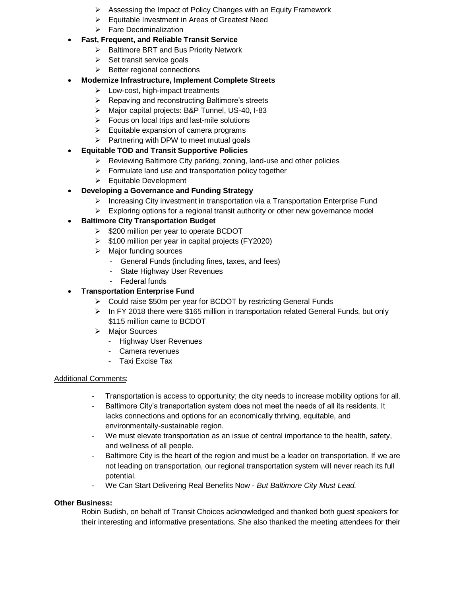- $\triangleright$  Assessing the Impact of Policy Changes with an Equity Framework
- Equitable Investment in Areas of Greatest Need
- $\triangleright$  Fare Decriminalization
- **Fast, Frequent, and Reliable Transit Service**
	- ▶ Baltimore BRT and Bus Priority Network
	- $\triangleright$  Set transit service goals
	- $\triangleright$  Better regional connections
- **Modernize Infrastructure, Implement Complete Streets**
	- $\triangleright$  Low-cost, high-impact treatments
	- $\triangleright$  Repaving and reconstructing Baltimore's streets
	- Major capital projects: B&P Tunnel, US-40, I-83
	- $\triangleright$  Focus on local trips and last-mile solutions
	- $\triangleright$  Equitable expansion of camera programs
	- $\triangleright$  Partnering with DPW to meet mutual goals
- **Equitable TOD and Transit Supportive Policies**
	- $\triangleright$  Reviewing Baltimore City parking, zoning, land-use and other policies
	- $\triangleright$  Formulate land use and transportation policy together
	- $\triangleright$  Equitable Development
- **Developing a Governance and Funding Strategy**
	- Increasing City investment in transportation via a Transportation Enterprise Fund
	- $\triangleright$  Exploring options for a regional transit authority or other new governance model

# **Baltimore City Transportation Budget**

- $\geq$  \$200 million per year to operate BCDOT
- $\triangleright$  \$100 million per year in capital projects (FY2020)
- $\triangleright$  Major funding sources
	- General Funds (including fines, taxes, and fees)
	- State Highway User Revenues
	- Federal funds

# **Transportation Enterprise Fund**

- Could raise \$50m per year for BCDOT by restricting General Funds
- $\triangleright$  In FY 2018 there were \$165 million in transportation related General Funds, but only \$115 million came to BCDOT
- > Major Sources
	- Highway User Revenues
	- Camera revenues
	- Taxi Excise Tax

## Additional Comments:

- Transportation is access to opportunity; the city needs to increase mobility options for all.
- Baltimore City's transportation system does not meet the needs of all its residents. It lacks connections and options for an economically thriving, equitable, and environmentally-sustainable region.
- We must elevate transportation as an issue of central importance to the health, safety, and wellness of all people.
- Baltimore City is the heart of the region and must be a leader on transportation. If we are not leading on transportation, our regional transportation system will never reach its full potential.
- We Can Start Delivering Real Benefits Now *But Baltimore City Must Lead.*

## **Other Business:**

Robin Budish, on behalf of Transit Choices acknowledged and thanked both guest speakers for their interesting and informative presentations. She also thanked the meeting attendees for their